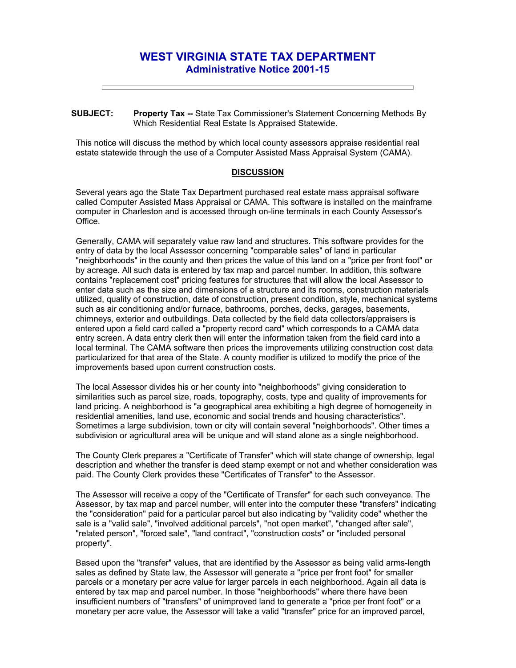## **WEST VIRGINIA STATE TAX DEPARTMENT Administrative Notice 2001-15**

**SUBJECT: Property Tax --** State Tax Commissioner's Statement Concerning Methods By Which Residential Real Estate Is Appraised Statewide.

This notice will discuss the method by which local county assessors appraise residential real estate statewide through the use of a Computer Assisted Mass Appraisal System (CAMA).

## **DISCUSSION**

Several years ago the State Tax Department purchased real estate mass appraisal software called Computer Assisted Mass Appraisal or CAMA. This software is installed on the mainframe computer in Charleston and is accessed through on-line terminals in each County Assessor's Office.

Generally, CAMA will separately value raw land and structures. This software provides for the entry of data by the local Assessor concerning "comparable sales" of land in particular "neighborhoods" in the county and then prices the value of this land on a "price per front foot" or by acreage. All such data is entered by tax map and parcel number. In addition, this software contains "replacement cost" pricing features for structures that will allow the local Assessor to enter data such as the size and dimensions of a structure and its rooms, construction materials utilized, quality of construction, date of construction, present condition, style, mechanical systems such as air conditioning and/or furnace, bathrooms, porches, decks, garages, basements, chimneys, exterior and outbuildings. Data collected by the field data collectors/appraisers is entered upon a field card called a "property record card" which corresponds to a CAMA data entry screen. A data entry clerk then will enter the information taken from the field card into a local terminal. The CAMA software then prices the improvements utilizing construction cost data particularized for that area of the State. A county modifier is utilized to modify the price of the improvements based upon current construction costs.

The local Assessor divides his or her county into "neighborhoods" giving consideration to similarities such as parcel size, roads, topography, costs, type and quality of improvements for land pricing. A neighborhood is "a geographical area exhibiting a high degree of homogeneity in residential amenities, land use, economic and social trends and housing characteristics". Sometimes a large subdivision, town or city will contain several "neighborhoods". Other times a subdivision or agricultural area will be unique and will stand alone as a single neighborhood.

The County Clerk prepares a "Certificate of Transfer" which will state change of ownership, legal description and whether the transfer is deed stamp exempt or not and whether consideration was paid. The County Clerk provides these "Certificates of Transfer" to the Assessor.

The Assessor will receive a copy of the "Certificate of Transfer" for each such conveyance. The Assessor, by tax map and parcel number, will enter into the computer these "transfers" indicating the "consideration" paid for a particular parcel but also indicating by "validity code" whether the sale is a "valid sale", "involved additional parcels", "not open market", "changed after sale", "related person", "forced sale", "land contract", "construction costs" or "included personal property".

Based upon the "transfer" values, that are identified by the Assessor as being valid arms-length sales as defined by State law, the Assessor will generate a "price per front foot" for smaller parcels or a monetary per acre value for larger parcels in each neighborhood. Again all data is entered by tax map and parcel number. In those "neighborhoods" where there have been insufficient numbers of "transfers" of unimproved land to generate a "price per front foot" or a monetary per acre value, the Assessor will take a valid "transfer" price for an improved parcel,